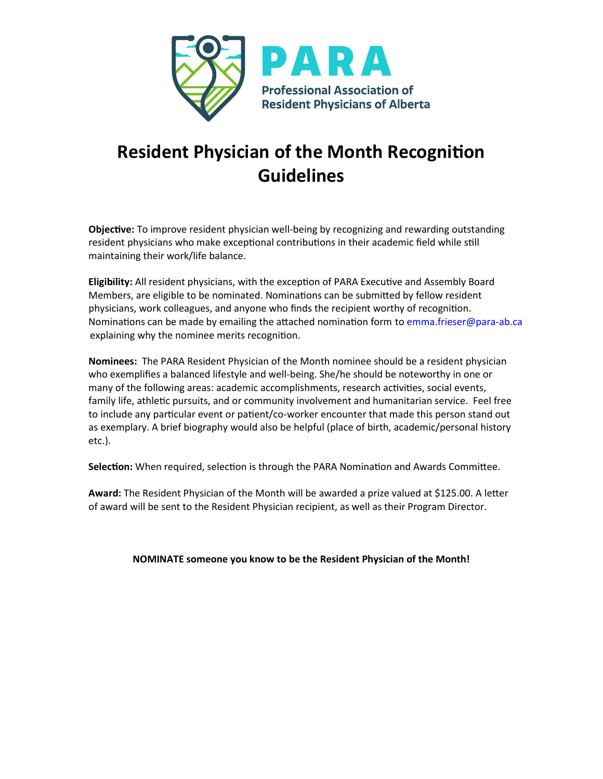

## **Resident Physician of the Month Recogni�on Guidelines**

**Objective:** To improve resident physician well-being by recognizing and rewarding outstanding resident physicians who make exceptional contributions in their academic field while still maintaining their work/life balance.

**Eligibility:** All resident physicians, with the exception of PARA Executive and Assembly Board Members, are eligible to be nominated. Nominations can be submitted by fellow resident physicians, work colleagues, and anyone who finds the recipient worthy of recognition. Nominations can be made by emailing the attached nomination form to emma.frieser@para-ab.ca explaining why the nominee merits recognition.

**Nominees:** The PARA Resident Physician of the Month nominee should be a resident physician who exemplifies a balanced lifestyle and well-being. She/he should be noteworthy in one or many of the following areas: academic accomplishments, research activities, social events, family life, athletic pursuits, and or community involvement and humanitarian service. Feel free to include any particular event or patient/co-worker encounter that made this person stand out as exemplary. A brief biography would also be helpful (place of birth, academic/personal history etc.).

**Selection:** When required, selection is through the PARA Nomination and Awards Committee.

Award: The Resident Physician of the Month will be awarded a prize valued at \$125.00. A letter of award will be sent to the Resident Physician recipient, as well as their Program Director.

**NOMINATE someone you know to be the Resident Physician of the Month!**